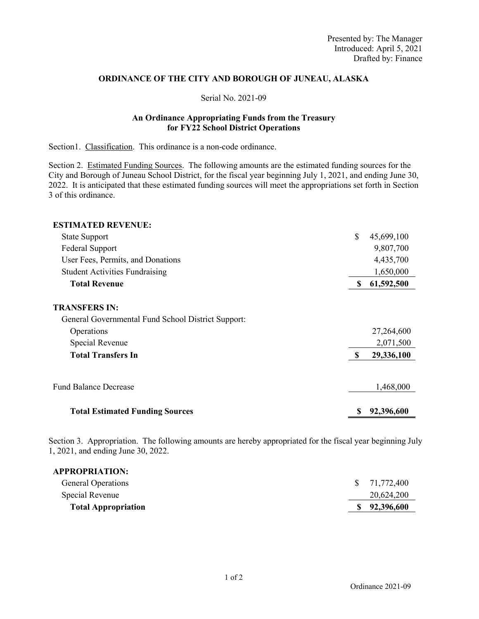## **ORDINANCE OF THE CITY AND BOROUGH OF JUNEAU, ALASKA**

## Serial No. 2021-09

## **An Ordinance Appropriating Funds from the Treasury for FY22 School District Operations**

Section1. Classification. This ordinance is a non-code ordinance.

Section 2. Estimated Funding Sources. The following amounts are the estimated funding sources for the City and Borough of Juneau School District, for the fiscal year beginning July 1, 2021, and ending June 30, 2022. It is anticipated that these estimated funding sources will meet the appropriations set forth in Section 3 of this ordinance.

| <b>ESTIMATED REVENUE:</b>                                                  |          |            |
|----------------------------------------------------------------------------|----------|------------|
| <b>State Support</b>                                                       | \$       | 45,699,100 |
| <b>Federal Support</b>                                                     |          | 9,807,700  |
| User Fees, Permits, and Donations                                          |          | 4,435,700  |
| <b>Student Activities Fundraising</b>                                      |          | 1,650,000  |
| <b>Total Revenue</b>                                                       | S        | 61,592,500 |
| <b>TRANSFERS IN:</b><br>General Governmental Fund School District Support: |          |            |
| Operations                                                                 |          | 27,264,600 |
| Special Revenue                                                            |          | 2,071,500  |
| <b>Total Transfers In</b>                                                  | <b>S</b> | 29,336,100 |
| <b>Fund Balance Decrease</b>                                               |          | 1,468,000  |
| <b>Total Estimated Funding Sources</b>                                     |          | 92,396,600 |

Section 3. Appropriation. The following amounts are hereby appropriated for the fiscal year beginning July 1, 2021, and ending June 30, 2022.

| <b>APPROPRIATION:</b>      |              |
|----------------------------|--------------|
| <b>General Operations</b>  | \$71,772,400 |
| Special Revenue            | 20,624,200   |
| <b>Total Appropriation</b> | 92,396,600   |